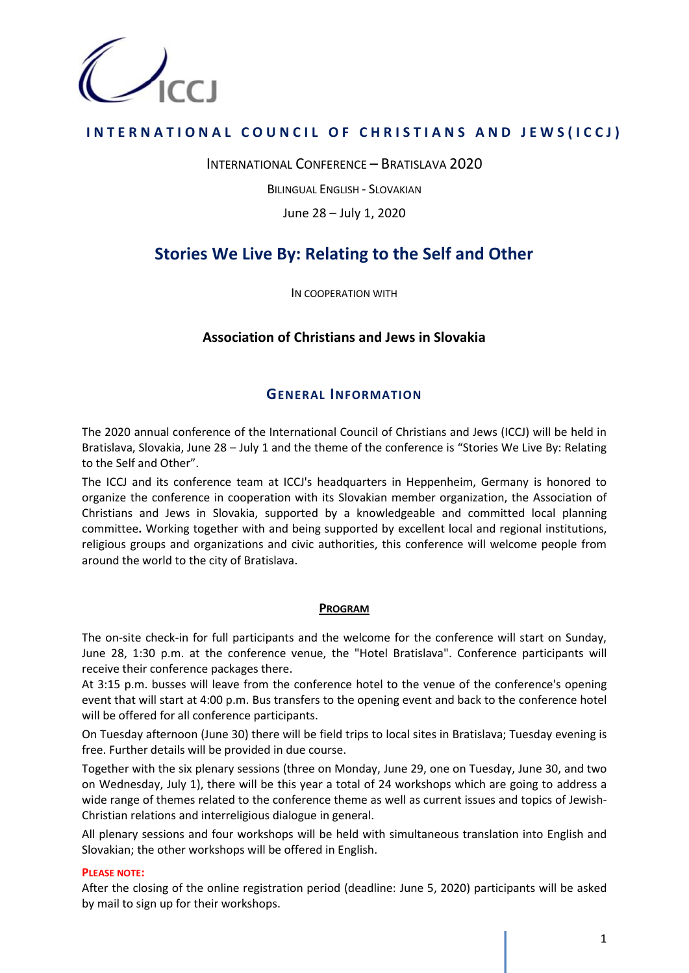

## **INTERNATIONAL COUNCIL OF CHRISTIANS AND JEWS(ICCJ)**

INTERNATIONAL CONFERENCE – BRATISLAVA 2020

BILINGUAL ENGLISH - SLOVAKIAN

June 28 – July 1, 2020

# **Stories We Live By: Relating to the Self and Other**

IN COOPERATION WITH

### **Association of Christians and Jews in Slovakia**

### **GENERAL INFORMATION**

The 2020 annual conference of the International Council of Christians and Jews (ICCJ) will be held in Bratislava, Slovakia, June 28 – July 1 and the theme of the conference is "Stories We Live By: Relating to the Self and Other".

The ICCJ and its conference team at ICCJ's headquarters in Heppenheim, Germany is honored to organize the conference in cooperation with its Slovakian member organization, the Association of Christians and Jews in Slovakia, supported by a knowledgeable and committed local planning committee**.** Working together with and being supported by excellent local and regional institutions, religious groups and organizations and civic authorities, this conference will welcome people from around the world to the city of Bratislava.

### **PROGRAM**

The on-site check-in for full participants and the welcome for the conference will start on Sunday, June 28, 1:30 p.m. at the conference venue, the "Hotel Bratislava". Conference participants will receive their conference packages there.

At 3:15 p.m. busses will leave from the conference hotel to the venue of the conference's opening event that will start at 4:00 p.m. Bus transfers to the opening event and back to the conference hotel will be offered for all conference participants.

On Tuesday afternoon (June 30) there will be field trips to local sites in Bratislava; Tuesday evening is free. Further details will be provided in due course.

Together with the six plenary sessions (three on Monday, June 29, one on Tuesday, June 30, and two on Wednesday, July 1), there will be this year a total of 24 workshops which are going to address a wide range of themes related to the conference theme as well as current issues and topics of Jewish-Christian relations and interreligious dialogue in general.

All plenary sessions and four workshops will be held with simultaneous translation into English and Slovakian; the other workshops will be offered in English.

### **PLEASE NOTE:**

After the closing of the online registration period (deadline: June 5, 2020) participants will be asked by mail to sign up for their workshops.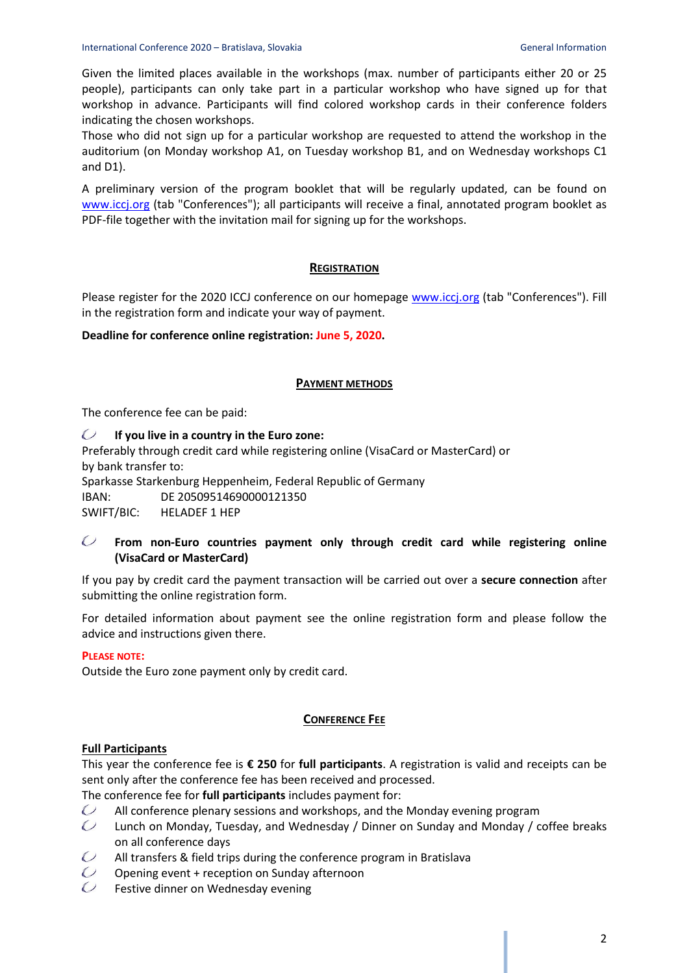Given the limited places available in the workshops (max. number of participants either 20 or 25 people), participants can only take part in a particular workshop who have signed up for that workshop in advance. Participants will find colored workshop cards in their conference folders indicating the chosen workshops.

Those who did not sign up for a particular workshop are requested to attend the workshop in the auditorium (on Monday workshop A1, on Tuesday workshop B1, and on Wednesday workshops C1 and D1).

A preliminary version of the program booklet that will be regularly updated, can be found on [www.iccj.org](http://www.iccj.org/) (tab "Conferences"); all participants will receive a final, annotated program booklet as PDF-file together with the invitation mail for signing up for the workshops.

### **REGISTRATION**

Please register for the 2020 ICCJ conference on our homepage [www.iccj.org](http://www.iccj.org/) (tab "Conferences"). Fill in the registration form and indicate your way of payment.

### **Deadline for conference online registration: June 5, 2020.**

### **PAYMENT METHODS**

The conference fee can be paid:

#### $\mathcal{O}$ **If you live in a country in the Euro zone:**

Preferably through credit card while registering online (VisaCard or MasterCard) or by bank transfer to:

Sparkasse Starkenburg Heppenheim, Federal Republic of Germany IBAN: DE 20509514690000121350

SWIFT/BIC: HELADEF 1 HEP

#### $\mathcal{O}$ **From non-Euro countries payment only through credit card while registering online (VisaCard or MasterCard)**

If you pay by credit card the payment transaction will be carried out over a **secure connection** after submitting the online registration form.

For detailed information about payment see the online registration form and please follow the advice and instructions given there.

### **PLEASE NOTE:**

Outside the Euro zone payment only by credit card.

### **CONFERENCE FEE**

### **Full Participants**

This year the conference fee is **€ 250** for **full participants**. A registration is valid and receipts can be sent only after the conference fee has been received and processed.

The conference fee for **full participants** includes payment for:

- $\mathcal{O}$ All conference plenary sessions and workshops, and the Monday evening program
- $\mathcal O$ Lunch on Monday, Tuesday, and Wednesday / Dinner on Sunday and Monday / coffee breaks on all conference days
- $\bigcirc$ All transfers & field trips during the conference program in Bratislava
- $\bigcup$ Opening event + reception on Sunday afternoon
- $\mathcal O$ Festive dinner on Wednesday evening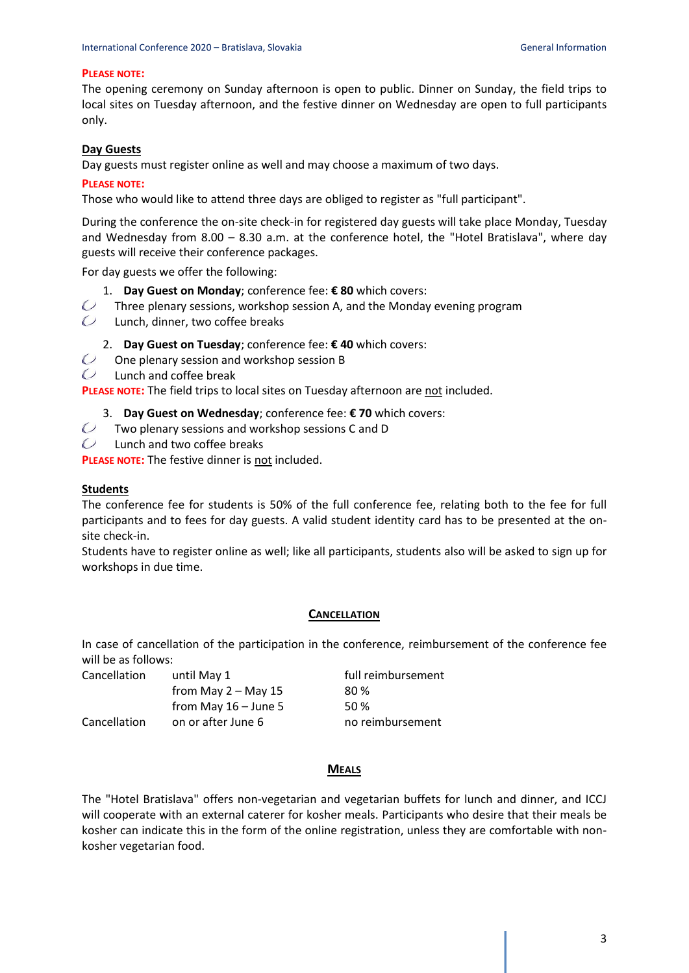#### **PLEASE NOTE:**

The opening ceremony on Sunday afternoon is open to public. Dinner on Sunday, the field trips to local sites on Tuesday afternoon, and the festive dinner on Wednesday are open to full participants only.

### **Day Guests**

Day guests must register online as well and may choose a maximum of two days.

#### **PLEASE NOTE:**

Those who would like to attend three days are obliged to register as "full participant".

During the conference the on-site check-in for registered day guests will take place Monday, Tuesday and Wednesday from 8.00 – 8.30 a.m. at the conference hotel, the "Hotel Bratislava", where day guests will receive their conference packages.

For day guests we offer the following:

- 1. **Day Guest on Monday**; conference fee: **€ 80** which covers:
- $\mathcal{O}$ Three plenary sessions, workshop session A, and the Monday evening program
- $\mathbb{C}$  Lunch, dinner, two coffee breaks

2. **Day Guest on Tuesday**; conference fee: **€ 40** which covers:

- $\bigcirc$ One plenary session and workshop session B
- $\mathcal{C}$  Lunch and coffee break

**PLEASE NOTE:** The field trips to local sites on Tuesday afternoon are not included.

3. **Day Guest on Wednesday**; conference fee: **€ 70** which covers:

- $\overline{C}$ Two plenary sessions and workshop sessions C and D
- $\mathcal{Q}$  Lunch and two coffee breaks

**PLEASE NOTE:** The festive dinner is not included.

#### **Students**

The conference fee for students is 50% of the full conference fee, relating both to the fee for full participants and to fees for day guests. A valid student identity card has to be presented at the onsite check-in.

Students have to register online as well; like all participants, students also will be asked to sign up for workshops in due time.

#### **CANCELLATION**

In case of cancellation of the participation in the conference, reimbursement of the conference fee will be as follows:

| Cancellation | until May 1            | full reimbursement |
|--------------|------------------------|--------------------|
|              | from May $2 -$ May 15  | 80 %               |
|              | from May $16 -$ June 5 | 50%                |
| Cancellation | on or after June 6     | no reimbursement   |

### **MEALS**

The "Hotel Bratislava" offers non-vegetarian and vegetarian buffets for lunch and dinner, and ICCJ will cooperate with an external caterer for kosher meals. Participants who desire that their meals be kosher can indicate this in the form of the online registration, unless they are comfortable with nonkosher vegetarian food.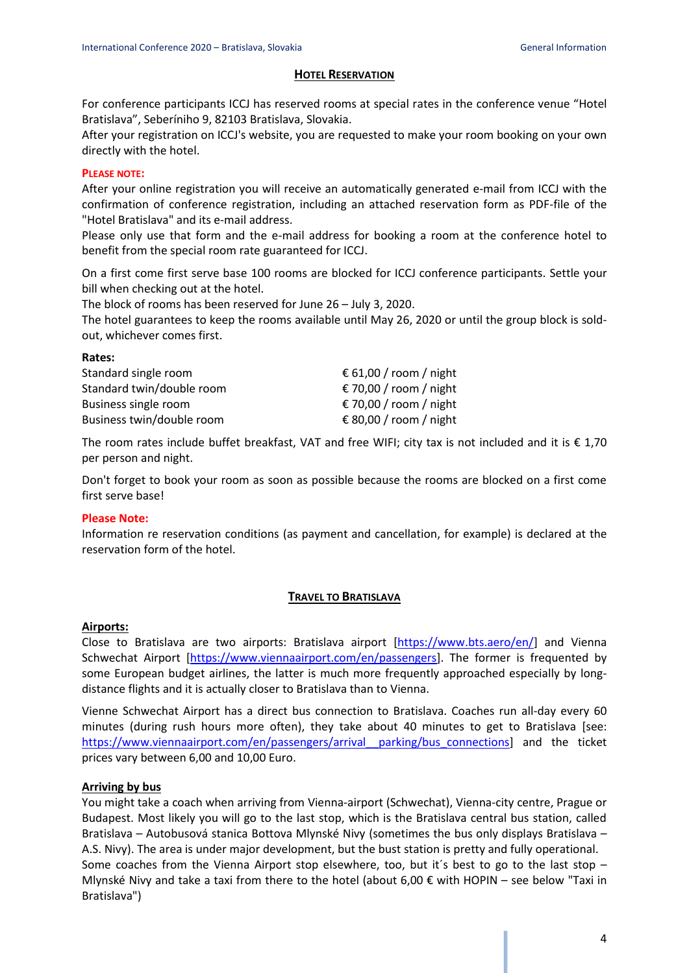### **HOTEL RESERVATION**

For conference participants ICCJ has reserved rooms at special rates in the conference venue "Hotel Bratislava", Seberíniho 9, 82103 Bratislava, Slovakia.

After your registration on ICCJ's website, you are requested to make your room booking on your own directly with the hotel.

### **PLEASE NOTE:**

After your online registration you will receive an automatically generated e-mail from ICCJ with the confirmation of conference registration, including an attached reservation form as PDF-file of the "Hotel Bratislava" and its e-mail address.

Please only use that form and the e-mail address for booking a room at the conference hotel to benefit from the special room rate guaranteed for ICCJ.

On a first come first serve base 100 rooms are blocked for ICCJ conference participants. Settle your bill when checking out at the hotel.

The block of rooms has been reserved for June 26 – July 3, 2020.

The hotel guarantees to keep the rooms available until May 26, 2020 or until the group block is soldout, whichever comes first.

| € 61,00 / room / night |
|------------------------|
| € 70,00 / room / night |
| € 70,00 / room / night |
| € 80,00 / room / night |
|                        |

The room rates include buffet breakfast, VAT and free WIFI; city tax is not included and it is  $\epsilon$  1,70 per person and night.

Don't forget to book your room as soon as possible because the rooms are blocked on a first come first serve base!

### **Please Note:**

**Rates:**

Information re reservation conditions (as payment and cancellation, for example) is declared at the reservation form of the hotel.

### **TRAVEL TO BRATISLAVA**

### **Airports:**

Close to Bratislava are two airports: Bratislava airport [\[https://www.bts.aero/en/\]](https://www.bts.aero/en/) and Vienna Schwechat Airport [\[https://www.viennaairport.com/en/passengers\]](https://www.viennaairport.com/en/passengers). The former is frequented by some European budget airlines, the latter is much more frequently approached especially by longdistance flights and it is actually closer to Bratislava than to Vienna.

Vienne Schwechat Airport has a direct bus connection to Bratislava. Coaches run all-day every 60 minutes (during rush hours more often), they take about 40 minutes to get to Bratislava [see: [https://www.viennaairport.com/en/passengers/arrival\\_\\_parking/bus\\_connections\]](https://www.viennaairport.com/en/passengers/arrival__parking/bus_connections) and the ticket prices vary between 6,00 and 10,00 Euro.

### **Arriving by bus**

You might take a coach when arriving from Vienna-airport (Schwechat), Vienna-city centre, Prague or Budapest. Most likely you will go to the last stop, which is the Bratislava central bus station, called Bratislava – Autobusová stanica Bottova Mlynské Nivy (sometimes the bus only displays Bratislava – A.S. Nivy). The area is under major development, but the bust station is pretty and fully operational. Some coaches from the Vienna Airport stop elsewhere, too, but it´s best to go to the last stop – Mlynské Nivy and take a taxi from there to the hotel (about 6,00  $\epsilon$  with HOPIN – see below "Taxi in Bratislava")